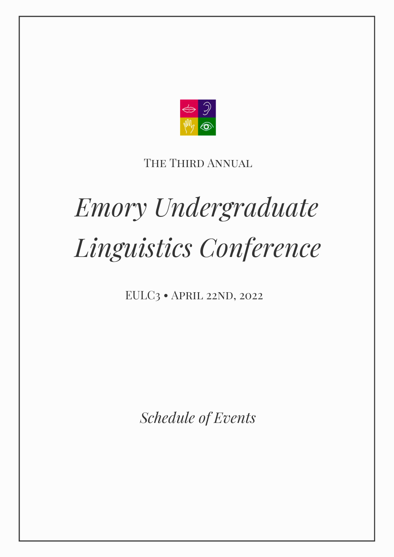

# THE THIRD ANNUAL

# *Emory Undergraduate Linguistics Conference*

EULC3 · APRIL 22ND, 2022

*Schedule of Events*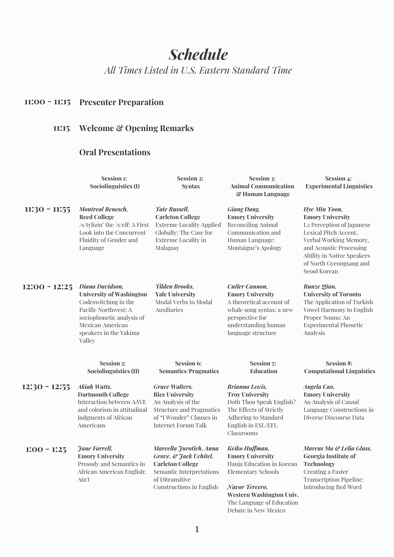# *Schedule*

*All Times Listed in U.S. Eastern Standard Time*

## **11:00 - 11:15 Presenter Preparation**

## **11:15 Welcome & Opening Remarks**

## **Oral Presentations**

|                 | Session 1:<br>Sociolinguistics (I)                                                                                                                                                      | <b>Session 2:</b><br><b>Syntax</b>                                                                                                                                 | Session 3:<br><b>Animal Communication</b><br>& Human Language                                                                                                                                          | Session 4:<br><b>Experimental Linguistics</b>                                                                                                                                                                                |
|-----------------|-----------------------------------------------------------------------------------------------------------------------------------------------------------------------------------------|--------------------------------------------------------------------------------------------------------------------------------------------------------------------|--------------------------------------------------------------------------------------------------------------------------------------------------------------------------------------------------------|------------------------------------------------------------------------------------------------------------------------------------------------------------------------------------------------------------------------------|
| $11:30 - 11:55$ | <b>Montreal Benesch,</b><br><b>Reed College</b><br>/s/tylizin' the /s/elf: A First<br>Look into the Concurrent<br>Fluidity of Gender and<br>Language                                    | Tate Russell,<br><b>Carleton College</b><br><b>Extreme Locality Applied</b><br>Globally: The Case for<br><b>Extreme Locality in</b><br>Malagasy                    | <b>Giang Dang,</b><br><b>Emory University</b><br><b>Reconciling Animal</b><br>Communication and<br>Human Language:<br>Montaigne's Apology                                                              | Hye Min Yoon,<br><b>Emory University</b><br>L2 Perception of Japanese<br>Lexical Pitch Accent,<br>Verbal Working Memory,<br>and Acoustic Processing<br>Ability in Native Speakers<br>of North Gyeongsang and<br>Seoul Korean |
| $12:00 - 12:25$ | Diana Davidson,<br><b>University of Washington</b><br>Codeswitching in the<br>Pacific Northwest: A<br>sociophonetic analysis of<br>Mexican American<br>speakers in the Yakima<br>Valley | <b>Tilden Brooks,</b><br><b>Yale University</b><br>Modal Verbs to Modal<br>Auxiliaries                                                                             | <b>Cutler Cannon,</b><br><b>Emory University</b><br>A theoretical account of<br>whale song syntax: a new<br>perspective for<br>understanding human<br>language structure                               | Runze Qian,<br><b>University of Toronto</b><br>The Application of Turkish<br>Vowel Harmony to English<br>Proper Nouns: An<br><b>Experimental Phonetic</b><br>Analysis                                                        |
|                 | Session 5:<br>Sociolinguistics (II)                                                                                                                                                     | <b>Session 6:</b><br><b>Semantics/Pragmatics</b>                                                                                                                   | <b>Session 7:</b><br><b>Education</b>                                                                                                                                                                  | <b>Session 8:</b><br><b>Computational Linguistics</b>                                                                                                                                                                        |
| $12:30 - 12:55$ | <b>Akiah Watts,</b><br><b>Dartmouth College</b><br>Interaction between AAVE<br>and colorism in attitudinal<br>judgments of African<br>Americans                                         | <b>Grace Walters,</b><br><b>Rice University</b><br>An Analysis of the<br><b>Structure and Pragmatics</b><br>of "I Wonder" Clauses in<br><b>Internet Forum Talk</b> | <b>Brianna Lewis,</b><br><b>Troy University</b><br>Doth Thou Speak English?<br>The Effects of Strictly<br>Adhering to Standard<br>English in ESL/EFL<br>Classrooms                                     | Angela Cao,<br><b>Emory University</b><br>An Analysis of Causal<br>Language Constructions in<br>Diverse Discourse Data                                                                                                       |
| $1:00 - 1:25$   | <b>Jane Farrell,</b><br><b>Emory University</b><br>Prosody and Semantics in<br>African American English:<br>Ain't                                                                       | Marcella Jurotich, Anna<br>Grove, & Jack Uchitel,<br><b>Carleton College</b><br>Semantic Interpretations<br>of Ditransitive<br>Constructions in English            | Keiko Huffman,<br><b>Emory University</b><br>Hanja Education in Korean<br><b>Elementary Schools</b><br>Navor Tercero,<br>Western Washington Univ.<br>The Language of Education<br>Debate in New Mexico | Marcus Ma & Lelia Glass.<br>Georgia Institute of<br>Technology<br>Creating a Faster<br><b>Transcription Pipeline:</b><br><b>Introducing Bed Word</b>                                                                         |